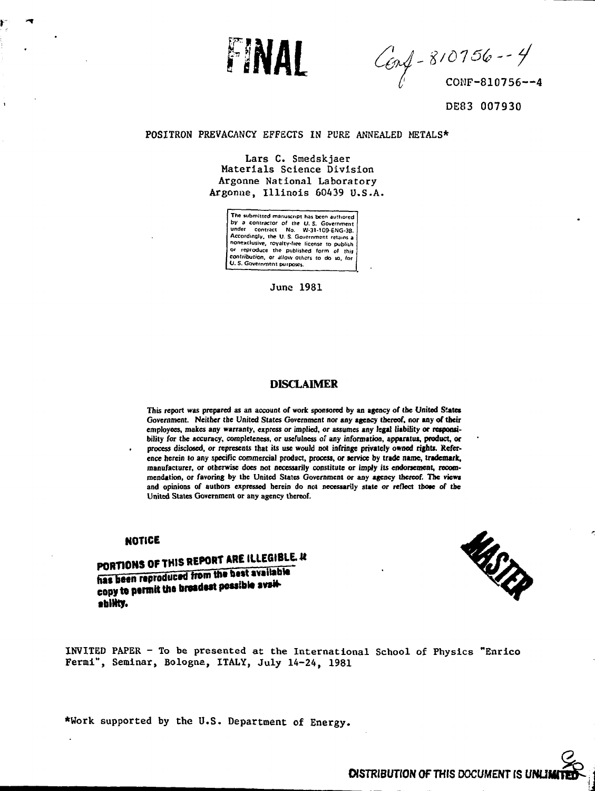

Conf - 810756 -- 4

**DE83 007930**

### POSITRON PREVACANCY EFFECTS IN PURE ANNEALED METALS\*

Lars C. Smedskjaer Materials Science Division Argonne National Laboratory Argonne, Illinois 60439 U.S.A.

> **The submitted manuscript has been authored by a contractor of the U. \$. Government under contract No. W-31-1OD-ENG-38. Accordingly, the U. S. Government retains a nonexclusive, royalty-fice license to publish Or reproduce the published form of this contribution, or allow others to do so, lor O. S. Government purposes.**

> > June 1981

# **DISCLAIMER**

This report was prepared as an account of work sponsored by an agency of the United States **Government. Neither the United States Government nor any agency thereof, nor any of their employees, makes any warranty, express** *or* **implied, or assumes any legal liability or responsibility** *for* **the accuracy, completeness, or usefulness of any information, apparatus, product, or process disclosed,** *or* **represents that its use would not infringe privately owned rights. Reference herein to any specific commercial product, process, or service by trade name, trademark, manufacturer, or otherwise does not necessarily constitute or imply its endorsement, recommendation, or favoring by the United States Government or any agency thereof. The views and opinions of authors expressed herein do not necessarily state or reflect those of the United States Government or any agency thereof.**

## **NOTICE**

PORTIONS OF THIS REPORT ARE ILLEGIBLE. IN has been reproduced from the best available<br>copy to permit the broadest possible avail**fbMty.**



INVITED PAPER - To be presented at the International School of Physics "Enrico Fermi", Seminar, Bologna, ITALY, July 14-24, 1981

\*Work supported by the U.S. Department of Energy.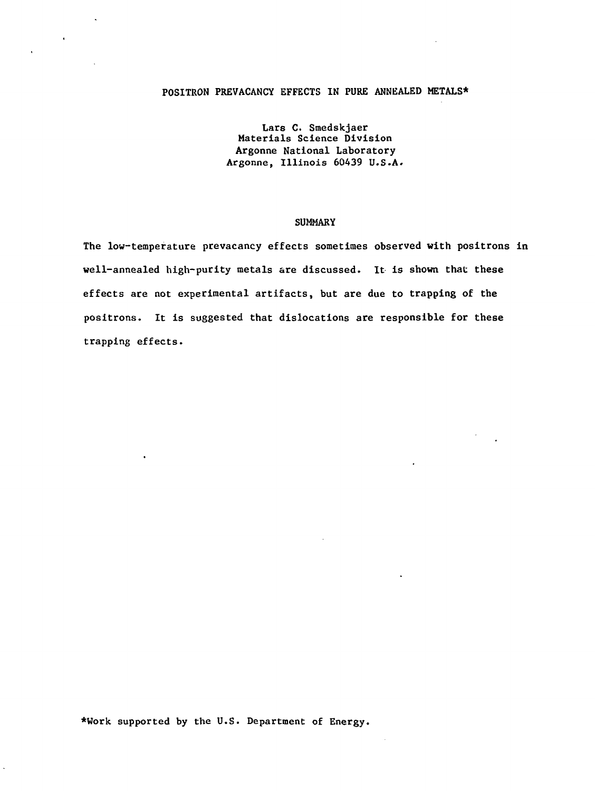# **POSITRON PREVACANCY EFFECTS IN PURE ANNEALED METALS\***

Lars C. Smedskjaer Materials Science Division Argonne National Laboratory Argonne, Illinois 60439 U.S.A.

## SUMMARY

The low-temperature prevacancy effects sometimes observed with positrons in well-annealed high-purity metals are discussed. It is shown that these effects are not experimental artifacts, but are due to trapping of the positrons. It is suggested that dislocations are responsible for these trapping effects.

\*Work supported by the U.S. Department of Energy.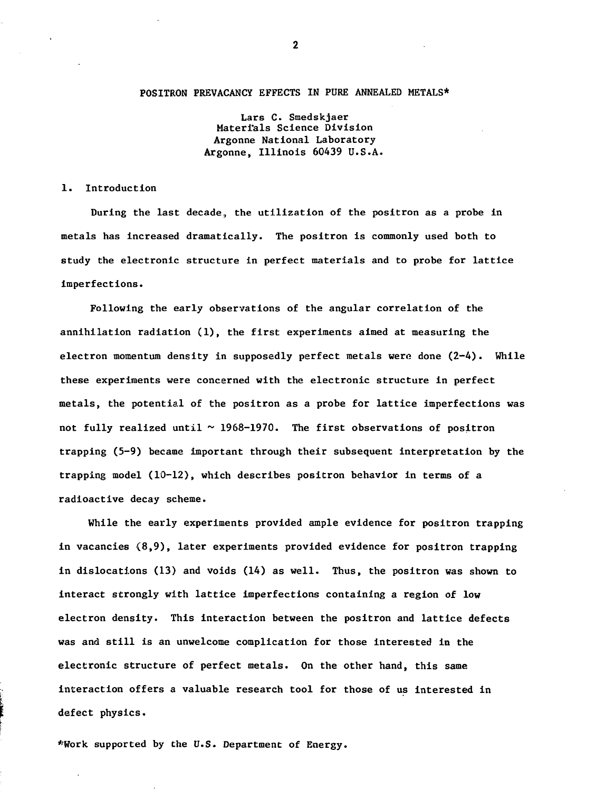# POSITRON PREVACANCY EFFECTS IN PURE ANNEALED METALS\*

Lars C. Smedskjaer Materials Science Division Argonne National Laboratory Argonne, Illinois 60439 U.S.A.

## 1. Introduction

During the last decade,, the utilization of the positron as a probe in metals has increased dramatically. The positron is commonly used both to study the electronic structure in perfect materials and to probe for lattice imperfections.

Following the early observations of the angular correlation of the annihilation radiation (1), the first experiments aimed at measuring the electron momentum density in supposedly perfect metals were done (2-4). While these experiments were concerned with the electronic structure in perfect metals, the potential of the positron as a probe for lattice imperfections was not fully realized until  $\sim$  1968-1970. The first observations of positron trapping (5-9) became important through their subsequent interpretation by the trapping model (10-12), which describes positron behavior in terms of a radioactive decay scheme.

While the early experiments provided ample evidence for positron trapping in vacancies (8,9), later experiments provided evidence for positron trapping in dislocations (13) and voids (14) as well. Thus, the positron was shown to interact strongly with lattice imperfections containing a region of low electron density. This interaction between the positron and lattice defects was and still is an unwelcome complication for those interested in the electronic structure of perfect metals. On the other hand, this same interaction offers a valuable research tool for those of us interested in defect physics.

\*Work supported by the U.S. Department of Energy.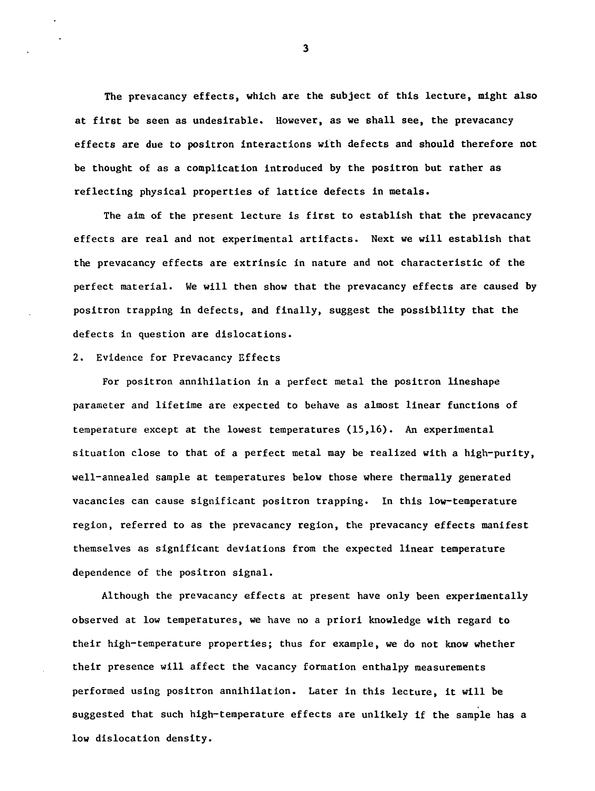The prevacancy effects, which are the subject of this lecture, might also at first be seen as undesirable. However, as we shall see, the prevacancy effects are due to positron interactions with defects and should therefore not be thought of as a complication introduced by the positron but rather as reflecting physical properties of lattice defects in metals.

The aim of the present lecture is first to establish that the prevacancy effects are real and not experimental artifacts. Next we will establish that the prevacancy effects are extrinsic in nature and not characteristic of the perfect material. We will then show that the prevacancy effects are caused by positron trapping in defects, and finally, suggest the possibility that the defects in question are dislocations.

#### 2. Evidence for Prevacancy Effects

For positron annihilation in a perfect metal the positron lineshape parameter and lifetime are expected to behave as almost linear functions of temperature except at the lowest temperatures (15,16). An experimental situation close to that of a perfect metal may be realized with a high-purity, well-annealed sample at temperatures below those where thermally generated vacancies can cause significant positron trapping. In this low-temperature region, referred to as the prevacancy region, the prevacancy effects manifest themselves as significant deviations from the expected linear temperature dependence of the positron signal.

Although the prevacancy effects at present have only been experimentally observed at low temperatures, we have no a priori knowledge with regard to their high-temperature properties; thus for example, we do not know whether their presence will affect the vacancy formation enthalpy measurements performed using positron annihilation. Later in this lecture, it will be suggested that such high-temperature effects are unlikely if the sample has a low dislocation density.

 $\overline{\mathbf{3}}$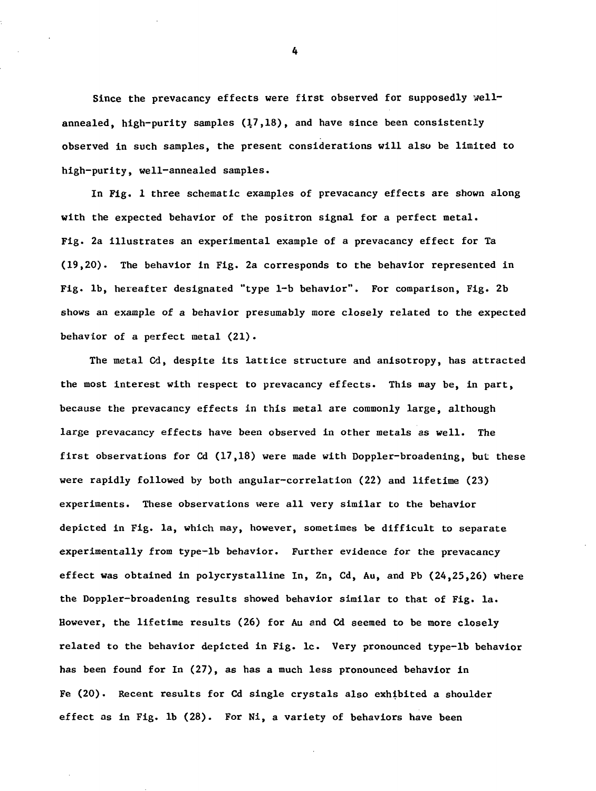Since the prevacancy effects were first observed for supposedly wellannealed, high-purity samples (17,18), and have since been consistently observed in such samples, the present considerations will also be limited to high-purity, well-annealed samples.

In Fig. 1 three schematic examples of prevacancy effects are shown along with the expected behavior of the positron signal for a perfect metal. Fig. 2a illustrates an experimental example of a prevacancy effect for Ta (19,20). The behavior in Fig. 2a corresponds to the behavior represented in Fig. lb, hereafter designated "type 1-b behavior". For comparison, Fig. 2b shows an example of a behavior presumably more closely related to the expected behavior of a perfect metal (21).

The metal Cd, despite its lattice structure and anisotropy, has attracted the most interest with respect to prevacancy effects. This may be, in part, because the prevacancy effects in this metal are commonly large, although large prevacancy effects have been observed in other metals as well. The first observations for  $Cd(17,18)$  were made with Doppler-broadening, but these were rapidly followed by both angular-correlation (22) and lifetime (23) experiments. These observations were all very similar to the behavior depicted in Fig. la, which may, however, sometimes be difficult to separate experimentally from type-lb behavior. Further evidence for the prevacancy effect was obtained in polycrystalline In, Zn, Cd, Au, and Pb (24,25,26) where the Doppler-broadening results showed behavior similar to that of Fig. la. However, the lifetime results (26) for Au and Cd seemed to be more closely related to the behavior depicted in Fig. lc. Very pronounced type-lb behavior has been found for In (27), as has a much less pronounced behavior in Fe (20). Recent results for Cd single crystals also exhibited a shoulder effect as in Fig. lb (28). For Ni, a variety of behaviors have been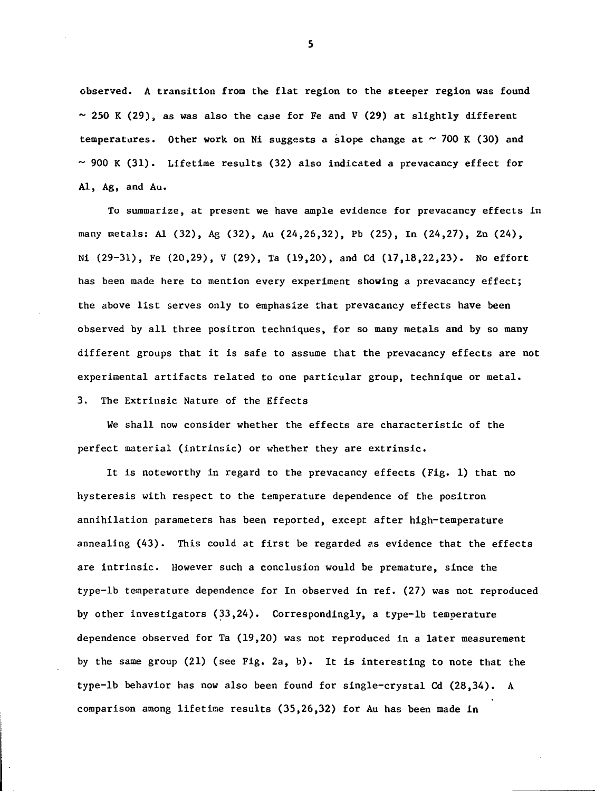observed. A transition from the flat region to the steeper region was found  $\sim$  250 K (29), as was also the case for Fe and V (29) at slightly different temperatures. Other work on Ni suggests a slope change at  $\sim$  700 K (30) and  $\sim$  900 K (31). Lifetime results (32) also indicated a prevacancy effect for Al, Ag, and Au.

To summarize, at present we have ample evidence for prevacancy effects in many metals: Al (32), Ag (32), Au (24,26,32), Pb (25), In (24,27), Zn (24), Ni  $(29-31)$ , Fe  $(20,29)$ , V  $(29)$ , Ta  $(19,20)$ , and Cd  $(17,18,22,23)$ . No effort has been made here to mention every experiment showing a prevacancy effect; the above list serves only to emphasize that prevacancy effects have been observed by all three positron techniques, for so many metals and by so many different groups that it is safe to assume that the prevacancy effects are not experimental artifacts related to one particular group, technique or metal. 3. The Extrinsic Nature of the Effects

We shall now consider whether the effects are characteristic of the perfect material (intrinsic) or whether they are extrinsic.

It is noteworthy in regard to the prevacancy effects (Fig. 1) that no hysteresis with respect to the temperature dependence of the positron annihilation parameters has been reported, except after high-temperature annealing (43). This could at first be regarded as evidence that the effects are intrinsic. However such a conclusion would be premature, since the type-lb temperature dependence for In observed in ref. (27) was not reproduced by other investigators (33,24). Correspondingly, a type-lb temperature dependence observed for Ta (19,20) was not reproduced in a later measurement by the same group (21) (see Fig. 2a, b). It is interesting to note that the type-lb behavior has now also been found for single-crystal Cd (28,34). A comparison among lifetime results (35,26,32) for Au has been made in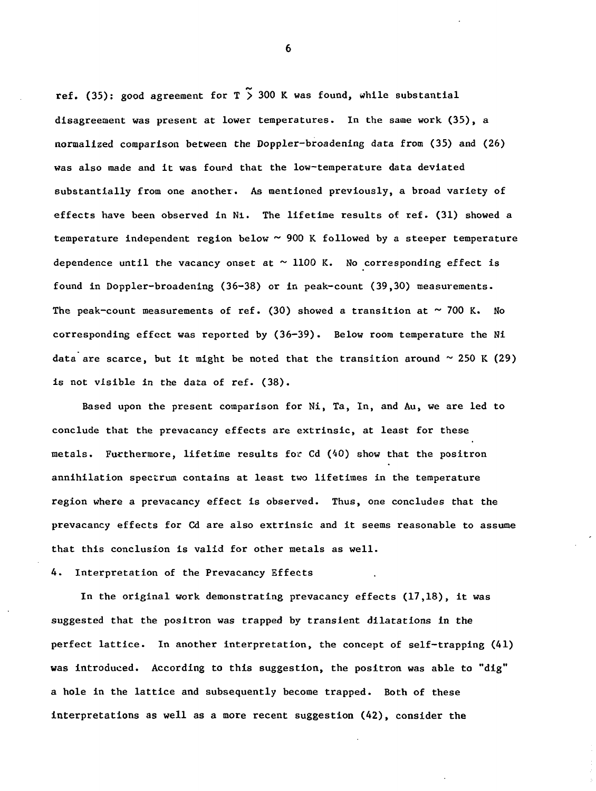ref. (35): good agreement for  $T \times 300$  K was found, while substantial disagreement was present at lower temperatures. In the same work (35), a normalized comparison between the Doppler-broadening data from (35) and (26) was also made and it was found that the low-temperature data deviated substantially from one another. As mentioned previously, a broad variety of effects have been observed in Ni. The lifetime results of ref. (31) showed a temperature independent region below  $\sim$  900 K followed by a steeper temperature dependence until the vacancy onset at  $\sim$  1100 K. No corresponding effect is found in Doppler-broadening (36-38) or in peak-count (39,30) measurements. The peak-count measurements of ref. (30) showed a transition at  $\sim$  700 K. No corresponding effect was reported by (36-39). Below room temperature the Ni data are scarce, but it might be noted that the transition around  $\sim$  250 K (29) is not visible in the data of ref. (38).

Based upon the present comparison for Ni, Ta, In, and Au, we are led to conclude that the prevacancy effects are extrinsic, at least for these metals. Furthermore, lifetime results for Cd (40) show that the positron annihilation spectrum contains at least two lifetimes in the temperature region where a prevacancy effect is observed. Thus, one concludes that the prevacancy effects for Cd are also extrinsic and it seems reasonable to assume that this conclusion is valid for other metals as well.

4. Interpretation of the Prevacancy Effects

In the original work demonstrating prevacancy effects (17,18), it was suggested that the positron was trapped by transient dilatations in the perfect lattice. In another interpretation, the concept of self-trapping (41) was introduced. According to this suggestion, the positron was able to "dig" a hole in the lattice and subsequently become trapped. Both of these interpretations as well as a more recent suggestion (42), consider the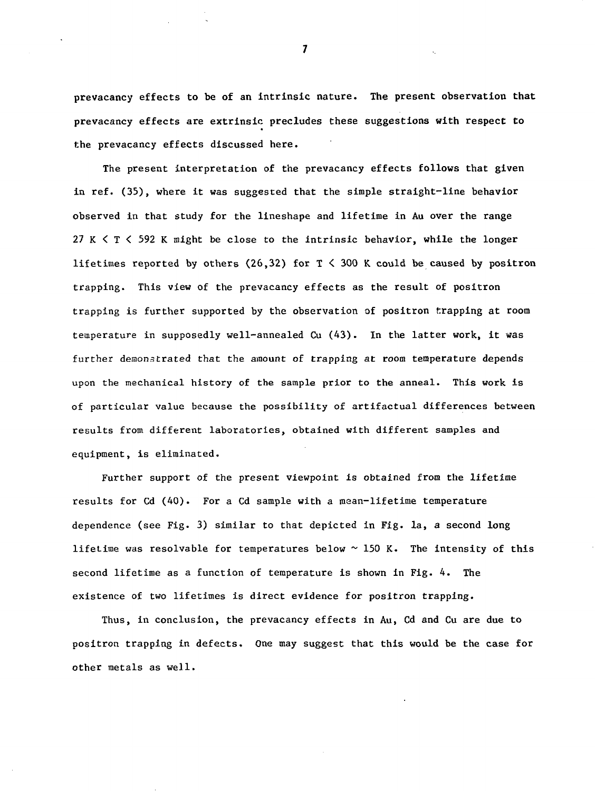prevacancy effects to be of an intrinsic nature. The present observation that prevacancy effects are extrinsic precludes these suggestions with respect to the prevacancy effects discussed here.

The present interpretation of the prevacancy effects follows that given in ref. (35), where it was suggested that the simple straight-line behavior observed in that study for the lineshape and lifetime in Au over the range 27 K  $\leq$  T  $\leq$  592 K might be close to the intrinsic behavior, while the longer lifetimes reported by others (26,32) for  $T < 300$  K could be caused by positron trapping. This view of the prevacancy effects as the result of positron trapping is further supported by the observation of positron trapping at room temperature in supposedly well-annealed Cu (43). In the latter work, it was further demonstrated that the amount of trapping at room temperature depends upon the mechanical history of the sample prior to the anneal. This work is of particular value because the possibility of artifactual differences between results from different laboratories, obtained with different samples and equipment, is eliminated.

Further support of the present viewpoint is obtained from the lifetime results for Cd (40). For a Cd sample with a mean-lifetime temperature dependence (see Fig. 3) similar to that depicted in Fig. la, a second long lifetime was resolvable for temperatures below  $\sim$  150 K. The intensity of this second lifetime as a function of temperature is shown in Fig. 4. The existence of two lifetimes is direct evidence for positron trapping.

Thus, in conclusion, the prevacancy effects in Au, Cd and Cu are due to positron trapping in defects. One may suggest that this would be the case for other metals as well.

 $\overline{\mathbf{z}}$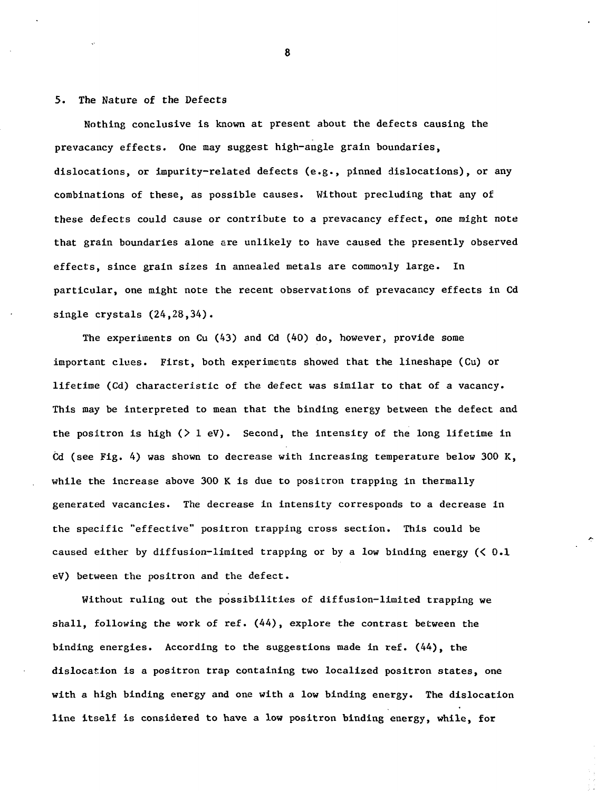# 5. The Nature of the Defects

Nothing conclusive is known at present about the defects causing the prevacancy effects. One may suggest high-angle grain boundaries, dislocations, or impurity-related defects (e.g., pinned dislocations), or any combinations of these, as possible causes. Without precluding that any of these defects could cause or contribute to a prevacancy effect, one might note that grain boundaries alone are unlikely to have caused the presently observed effects, since grain sizes in annealed metals are commonly large. In particular, one might note the recent observations of prevacancy effects in Cd single crystals (24,28,34).

The experiments on Cu (43) and Cd (40) do, however, provide some important clues. First, both experiments showed that the lineshape (Cu) or lifetime (Cd) characteristic of the defect was similar to that of a vacancy. This may be interpreted to mean that the binding energy between the defect and the positron is high  $($   $>$   $1$  eV). Second, the intensity of the long lifetime in Cd (see Fig. 4) was shown to decrease with increasing temperature below 300 K, while the increase above 300 K is due to positron trapping in thermally generated vacancies. The decrease in intensity corresponds to a decrease in the specific "effective" positron trapping cross section. This could be caused either by diffusion-limited trapping or by a low binding energy (< 0.1 eV) between the positron and the defect.

Without ruling out the possibilities of diffusion-limited trapping we shall, following the work of ref. (44), explore the contrast between the binding energies. According to the suggestions made in ref. (44), the dislocation is a positron trap containing two localized positron states, one with a high binding energy and one with a low binding energy. The dislocation line itself is considered to have a low positron binding energy, while, for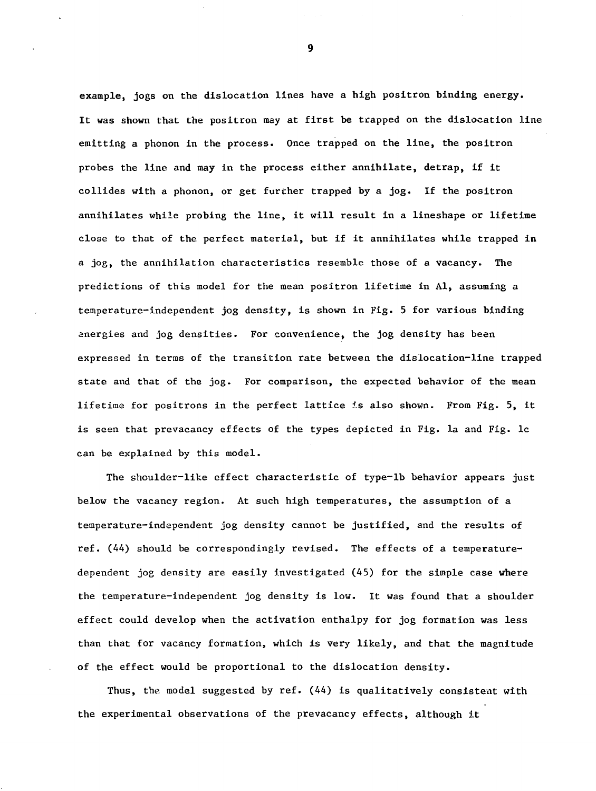example, jogs on the dislocation lines have a high positron binding energy. It was shown that the positron may at first be trapped on the dislocation line emitting a phonon in the process. Once trapped on the line, the positron probes the line and may in the process either annihilate, detrap, if it collides with a phonon, or get further trapped by a jog. If the positron annihilates while probing the line, it will result in a lineshape or lifetime close to that of the perfect material, but if it annihilates while trapped in a jog, the annihilation characteristics resemble those of a vacancy. The predictions of this model for the mean positron lifetime in Al, assuming a temperature-independent jog density, is shown in Fig. 5 for various binding energies and jog densities. For convenience, the jog density has been expressed in terms of the transition rate between the dislocation-line trapped state and that of the jog. For comparison, the expected behavior of the mean lifetime for positrons in the perfect lattice is also shown. From Fig. 5, it is seen that prevacancy effects of the types depicted in Fig. la and Fig. lc can be explained by this model.

The shoulder-like effect characteristic of type-lb behavior appears just below the vacancy region. At such high temperatures, the assumption of a temperature-independent jog density cannot be justified, and the results of ref. (44) should be correspondingly revised. The effects of a temperaturedependent jog density are easily investigated (45) for the simple case where the temperature-independent jog density is low. It was found that a shoulder effect could develop when the activation enthalpy for jog formation was less than that for vacancy formation, which is very likely, and that the magnitude of the effect would be proportional to the dislocation density.

Thus, the model suggested by ref.  $(44)$  is qualitatively consistent with the experimental observations of the prevacancy effects, although it

 $\overline{9}$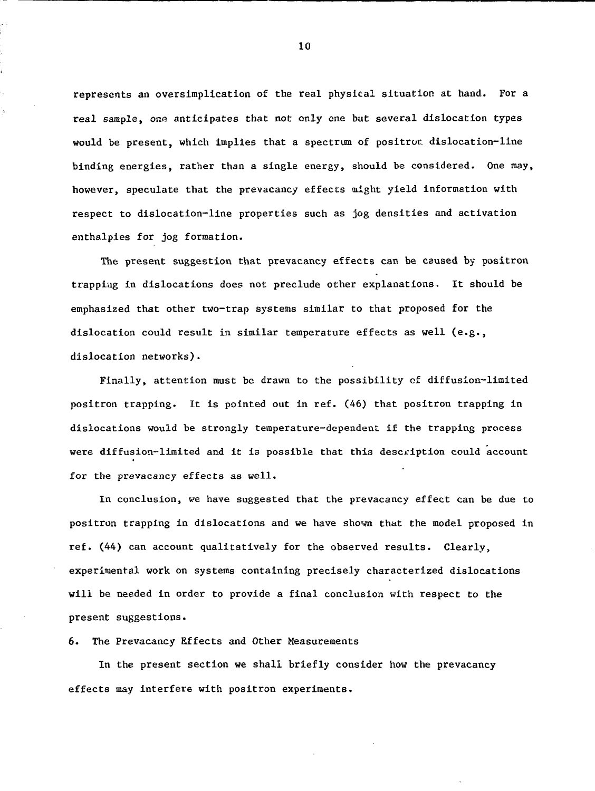represents an oversimplication of the real physical situation at hand. For a real sample, one anticipates that not only one bat several dislocation types would be present, which implies that a spectrum of positror. dislocation-line binding energies, rather than a single energy, should be considered. One may, however, speculate that the prevacancy effects might yield information with respect to dislocation-line properties such as jog densities and activation enthalpies for jog formation.

The present suggestion that prevacancy effects can be caused by positron trapping in dislocations does not preclude other explanations. It should be emphasized that other two-trap systems similar to that proposed for the dislocation could result in similar temperature effects as well (e.g., dislocation networks).

Finally, attention must be drawn to the possibility of diffusion-limited positron trapping. It is pointed out in ref. (46) that positron trapping in dislocations would be strongly temperature-dependent if the trapping process were diffusion-limited and it is possible that this description could account for the prevacancy effects as well.

In conclusion, we have suggested that the prevacancy effect can be due to positron trapping in dislocations and we have shown that the model proposed in ref. (44) can account qualitatively for the observed results. Clearly, experimental work on systems containing precisely characterized dislocations will be needed in order to provide a final conclusion with respect to the present suggestions.

6. The Prevacancy Effects and Other Measurements

In the present section we shall briefly consider how the prevacancy effects may interfere with positron experiments.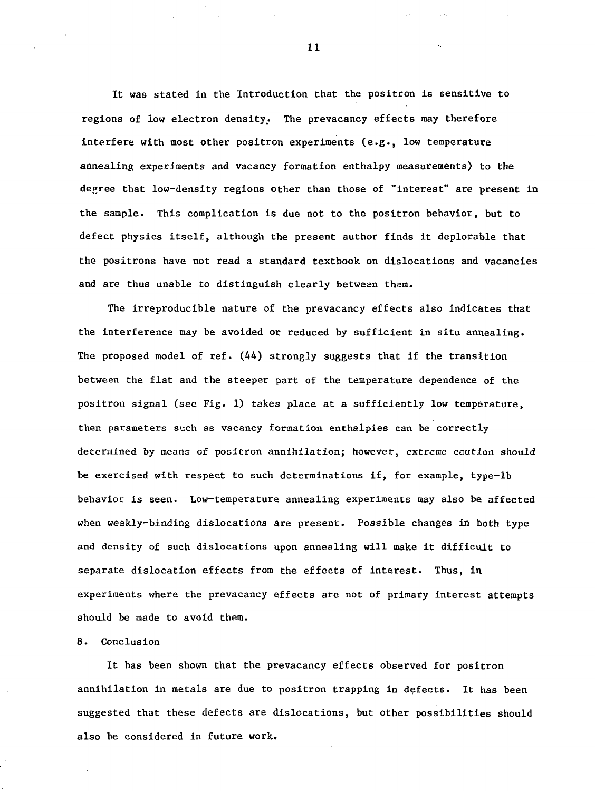It was stated in the Introduction that the positron is sensitive to regions of low electron density.. The prevacancy effects may therefore interfere with most other positron experiments (e.g., low temperature annealing experiments and vacancy formation enthalpy measurements) to the decree that low-density regions other than those of "interest" are present in the sample. This complication is due not to the positron behavior, but to defect physics itself, although the present author finds it deplorable that the positrons have not read a standard textbook on dislocations and vacancies and are thus unable to distinguish clearly between them.

The irreproducible nature of the prevacancy effects also indicates that the interference may be avoided or reduced by sufficient in situ annealing. The proposed model of ref. (44) strongly suggests that if the transition between the flat and the steeper part of the temperature dependence of the positron signal (see Fig. 1) takes place at a sufficiently low temperature, then parameters such as vacancy formation enthalpies can be correctly determined by means of positron annihilation; however, extreme caution should be exercised with respect to such determinations if, for example, type-lb behavior is seen. Low-temperature annealing experiments may also be affected when weakly-binding dislocations are present. Possible changes in both type and density of such dislocations upon annealing will make it difficult to separate dislocation effects from the effects of interest. Thus, in. experiments where the prevacancy effects are not of primary interest attempts should be made to avoid them.

### 8. Conclusion

It has been shown that the prevacancy effects observed for positron annihilation in metals are due to positron trapping in defects. It has been suggested that these defects are dislocations, but other possibilities should also be considered in future work.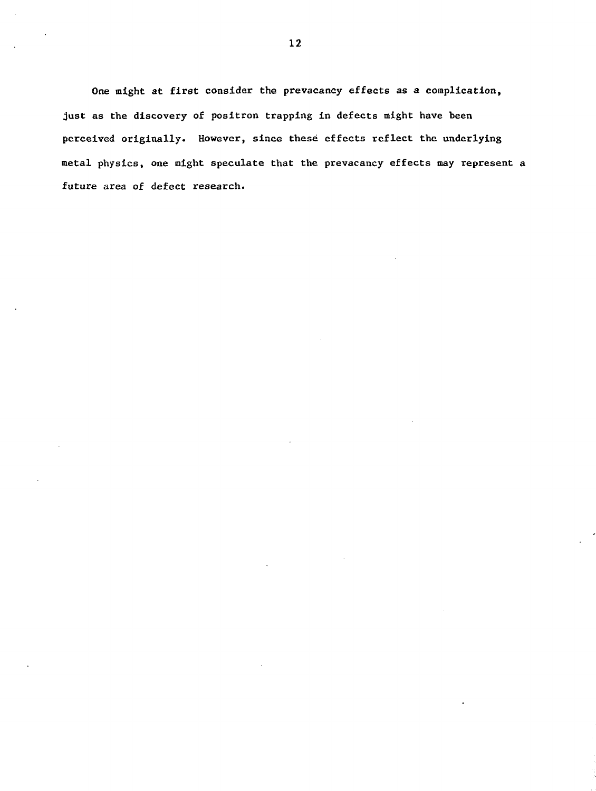One might at first consider the prevacancy effects as a complication, just as the discovery of positron trapping in defects might have been perceived originally. However, since these effects reflect the underlying metal physics, one might speculate that the prevacancy effects may represent a future area of defect research.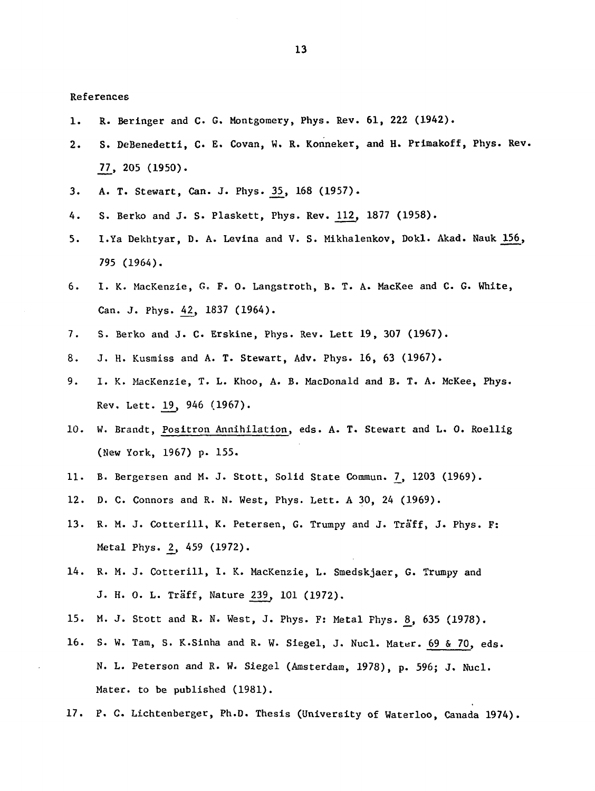References

- 1. R. Beringer and C. G. Montgomery, Phys. Rev. 61, 222 (1942).
- 2. S. DeBenedetti, C. E. Covan, W. R. Konneker, and H. Primakoff, Phys. Rev. 21, 205 (1950).
- 3. A. T. Stewart, Can. J. Phys. 35, 168 (1957).
- 4. S. Berko and J. S. Plaskett, Phys. Rev. 112, 1877 (1958).
- 5. I.Ya Dekhtyar, D. A. Levina and V. S. Mikhalenkov, Dokl. Akad. Nauk 156, 795 (1964).
- 6. I. K. MacKenzie, G, F. 0. Langstroth, B. T. A. MacKee and C. G. White, Can. J. Phys. 42, 1837 (1964).
- 7. S. Berko and J. C. Erskine, Phys. Rev. Lett 19, 307 (1967).
- 8. J. H. Kusmiss and A. T. Stewart, Adv. Phys. 16, 63 (1967).
- 9. 1. K. MacKenzie, T. L. Khoo, A. B. MacDonald and B. T. A. McKee, Phys. Rev. Lett. 19, 946 (1967).
- 10. W. Brandt, Positron Annihilation, eds. A. T. Stewart and L. 0. Roellig (New York, 1967) p. 155.
- 11. B. Bergersen and M. J. Stott, Solid State Commun. 7, 1203 (1969).
- 12. D. C. Connors and R. N. West, Phys. Lett. A 30, 24 (1969).
- 13. R. M. J. Cotterill, K. Petersen, G. Trumpy and J. Traff, J. Phys. F: Metal Phys. 2, 459 (1972).
- 14. R. M. J. Cotterill, I. K. MacKenzie, L. Smedskjaer, G. Trumpy and J. H. 0. L. Traff, Nature 239, 101 (1972).
- 15. M. J. Stott and R. N. West, J. Phys. F: Metal Phys. 8\_, 635 (1978).
- 16. S. W. Tam, S. K.Sinha and R. W. Siegel, J. Nucl. Mater. 69 & 70, eds. N. L. Peterson and R. W. Siegel (Amsterdam, 1978), p. 596; J. Nucl. Mater, to be published (1981).
- 17. P. C. Lichtenberger, Ph.D. Thesis (University of Waterloo, Canada 1974).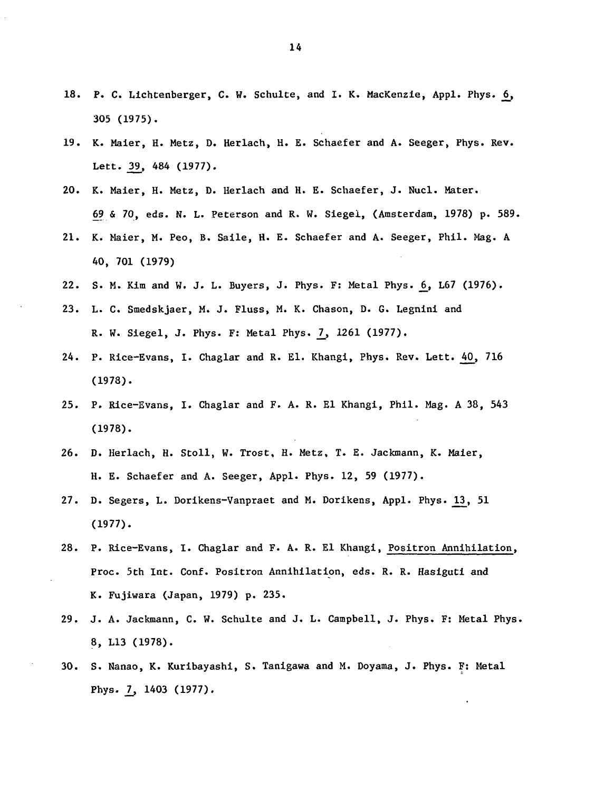- 18. P. C. Lichtenberger, C. W. Schulte, and I. K. MacKenzie, Appl. Phys. 6, 305 (1975).
- 19. K. Maier, H. Metz, D. Herlach, H. E. Schaefer and A. Seeger, Phys. Rev-Lett. 39, 484 (1977).
- 20. K. Maier, H. Metz, D. Herlach and H. E. Schaefer, J. Nucl. Mater. 69 & 70, eds. N. L. Peterson and R. W. Siegel, (Amsterdam, 1978) p. 589.
- 21. K. Maier, M. Peo, B. Saile, H. E. Schaefer and A. Seeger, Phil. Mag. A 40, 701 (1979)
- 22. S. M. Kim and W. J. L. Buyers, J. Phys. F: Metal Phys. 6, L67 (1976).
- 23. L. C. Smedskjaer, M. J. Fluss, M. K. Chason, D. G. Legnini and R. W. Siegel, J. Phys. F: Metal Phys. 7, 1261 (1977).
- 24. P. Rice-Evans, I. Chaglar and R. El. Khangi, Phys. Rev. Lett. 40, 716 (1978).
- 25. P. Rice-Evans, I. Chaglar and F. A. R. El Khangi, Phil. Mag. A 38, 543 (1978).
- 26. D. Herlach, H. Stoll, W. Trost, H. Metz, T. E. Jackmann, K. Maier, H. E. Schaefer and A. Seeger, Appl. Phys. 12, 59 (1977).
- 27. D. Segers, L. Dorikens-Vanpraet and M. Dorikens, Appl. Phys. 13, 51 (1977).
- 28. P. Rice-Evans, I. Chaglar and F. A. R. El Khangi, Positron Annihilation, Proc. 5th Int. Conf. Positron Annihilation, eds. R. R. Hasiguti and K. Fujiwara (Japan, 1979) p. 235.
- 29. J. A. Jackmann, C. W. Schulte and J. L. Campbell, J. Phys. F: Metal Phys. 8, L13 (1978).
- 30. S. Nanao, K. Kuribayashi, S. Tanigawa and M. Doyama, J. Phys. F: Metal Phys. 7, 1403 (1977).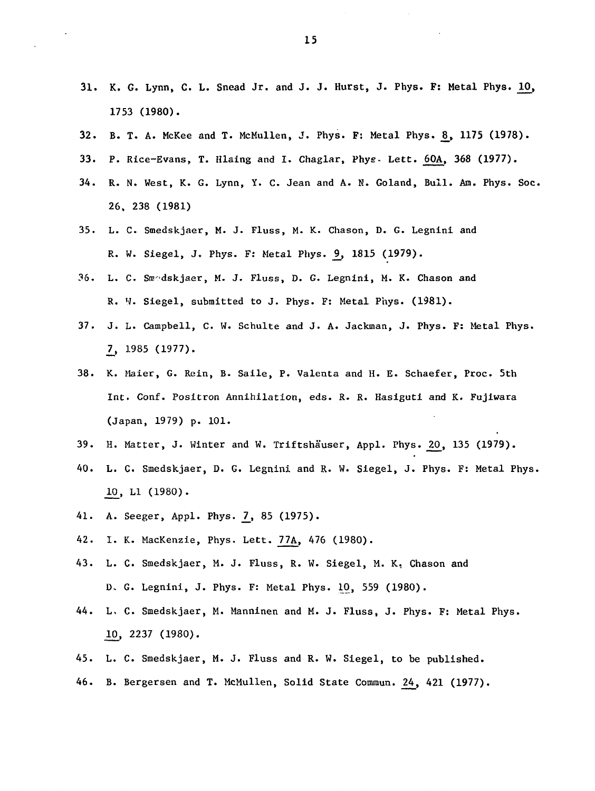- 31. K. G. Lynn, C. L. Snead Jr. and J. J. Hurst, J. Phys. F: Metal Phys. 10, 1753 (1980).
- 32. B. T. A. McKee and T. McMullen, J. Phys. F: Metal Phys. 8, 1175 (1978).
- 33. P. Rice-Evans, T. Hlaing and I. Chaglar, Phys- Lett. 60A, 368 (1977).
- 34. R. N. West, K. G. Lynn, Y. C. Jean and A. K. Goland, Bull. Am. Phys. Soc. 26, 238 (1981)
- 35. L. C. Smedskjaer, M. J. Fluss, M. K. Chason, D. G. Legnini and R. W. Siegel, J. Phys. F: Metal Phys. 9, 1815 (1979).
- 36. L. C. Snr'dskjaer, M. J. Fluss, D. G. Legnini, M. K. Chason and R. W. Siegel, submitted to J. Phys. F: Metal Phys. (1981).
- 37. J. L. Campbell, C. W. Schulte and J. A. Jackman, J. Phys. F: Metal Phys. \_7\_, 1985 (1977).
- 38. K. Maier, G. Rein, B. Saile, P. Valenta and H. E. Schaefer, Proc. 5th Int. Conf. Positron Annihilation, eds. R. R. Hasiguti and K. Fujiwara (Japan, 1979) p. 101.
- 39. H. Matter, J. Winter and W. Triftshäuser, Appl. Phys. 20, 135 (1979).
- 40. L. C. Smedskjaer, D. G. Legnini and R. W. Siegel, J. Phys. F: Metal Phys. 10, LI (1980).
- 41. A. Seeger, Appl. Phys. 7, 85 (1975).
- 42. I. K. MacKenzie, Phys. Lett. 77A, 476 (1980).
- 43. L. C. Smedskjaer, M. J. Fluss, R. W. Siegel, M. K, Chason and D. G. Legnini, J. Phys. F: Metal Phys. 10, 559 (1980).
- 44. L. C. Smedskjaer, M. Manninen and M. J. Fluss, J. Phys. F: Metal Phys. 10, 2237 (1980).
- 45. L. C. Smedskjaer, M. J. Fluss and R. W. Siegel, to be published.
- 46. B. Bergersen and T. McMullen, Solid State Commun. 24, 421 (1977).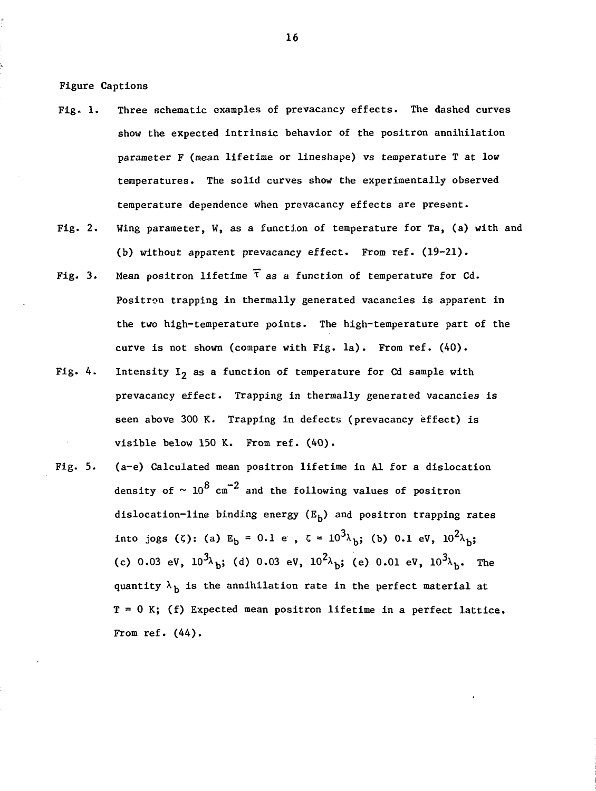Figure Captions

- Fig. 1. Three schematic examples of prevacancy effects. The dashed curves show the expected intrinsic behavior of the positron annihilation parameter F (mean lifetime or lineshape) vs temperature T at low temperatures. The solid curves show the experimentally observed temperature dependence when prevacancy effects are present.
- Fig. 2. Wing parameter, W, as a function of temperature for Ta, (a) with and (b) without apparent prevacancy effect. From ref. (19-21).
- Fig. 3. Mean positron lifetime  $\bar{\tau}$  as a function of temperature for Cd. Positron trapping in thermally generated vacancies is apparent in the two high-temperature points. The high-temperature part of the curve is not shown (compare with Fig. la). From ref. (40).
- Fig. 4. Intensity  $I_2$  as a function of temperature for Cd sample with prevacancy effect. Trapping in thermally generated vacancies is seen above 300 K. Trapping in defects (prevacancy effect) is visible below 150 K. From ref. (40).
- Fig. 5. (a-e) Calculated mean positron lifetime in Al for a dislocation density of  $\sim 10^8$  cm<sup>-2</sup> and the following values of positron dislocation-line binding energy  $(E_h)$  and positron trapping rates into jogs ( $\zeta$ ): (a) E<sub>b</sub> = 0.1 e ,  $\zeta = 10^3 \lambda_{\rm b}$ ; (b) 0.1 eV,  $10^2 \lambda_{\rm b}$ ; (c) 0.03 eV,  $10^{3\lambda}$ b; (d) 0.03 eV,  $10^{2\lambda}$ b; (e) 0.01 eV,  $10^{3\lambda}$ b. The quantity  $\lambda_h$  is the annihilation rate in the perfect material at  $T = 0$  K; (f) Expected mean positron lifetime in a perfect lattice. From ref. (44).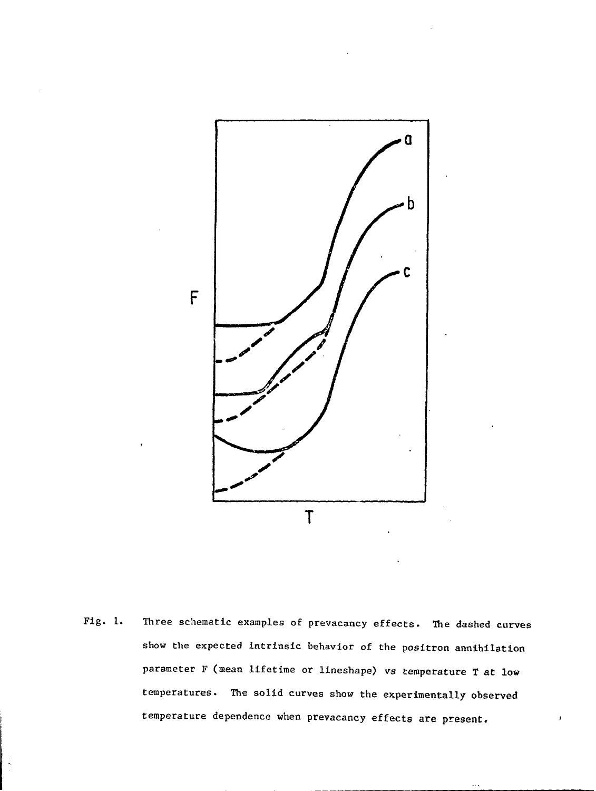

Fig. 1. Three schematic examples of prevacancy effects. The dashed curves show the expected intrinsic behavior of the positron annihilation parameter F (mean lifetime or lineshape) vs temperature T at low temperatures. The solid curves show the experimentally observed temperature dependence when prevacancy effects are present.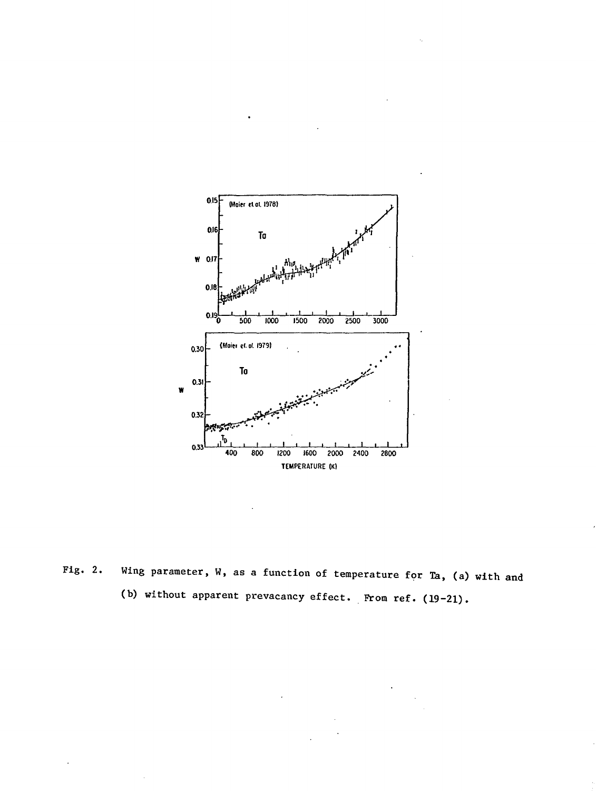

Fig. 2. Wing parameter, W, as a function of temperature for Ta, (a) with and (b) without apparent prevacancy effect. From ref. (19-21).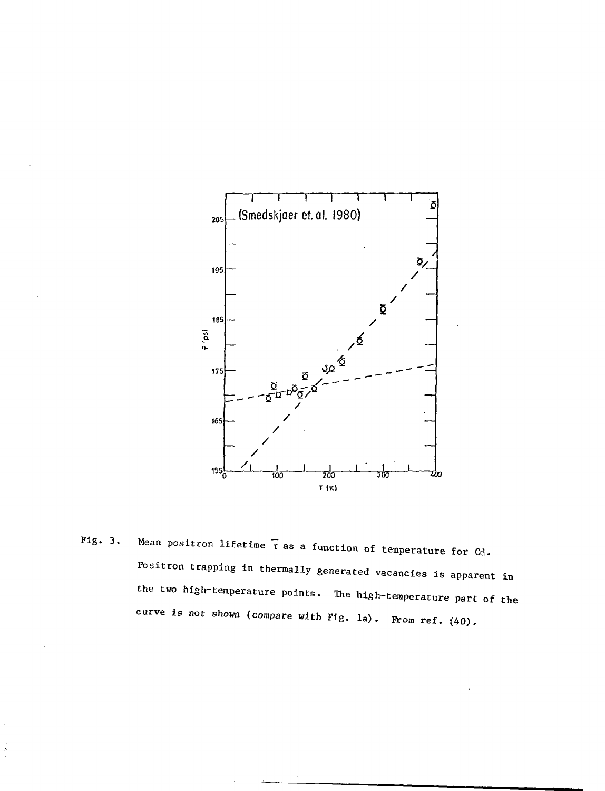

Fig. 3. Mean positron lifetime  $\bar{\tau}$  as a function of temperature for  $C_d$ . Positron trapping in thermally generated vacancies is apparent in the two high-temperature points. The high-temperature part of the curve is not shown (compare with Fig. la). From ref.  $(40)$ .

 $\frac{1}{2}$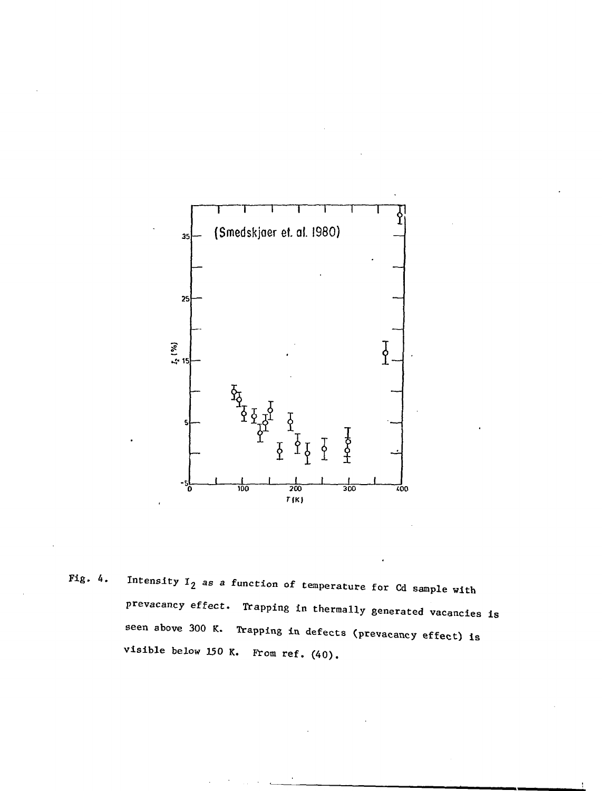

Fig. 4. Intensity  $I_2$  as a function of temperature for Cd sample with prevacancy effect. Trapping in thermally generated vacancies is seen above 300 K. Trapping in defects (prevacancy effect) is visible below 150 K. From ref. (40).